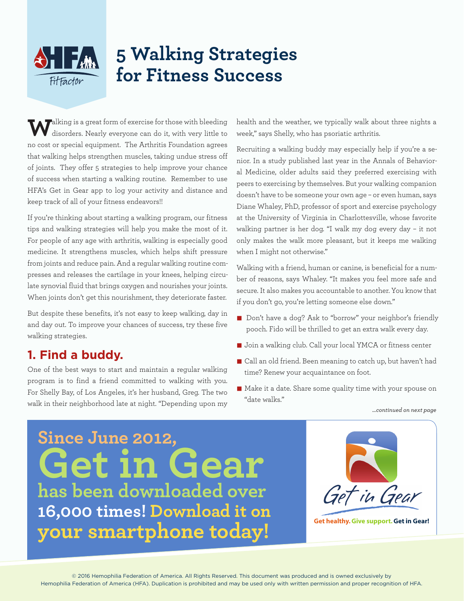### **5 Walking Strategies**   $\left\{ \cdot \right\}$  ,  $\left\{ \cdot \right\}$ **for Fitness Success**FitFactor

**W**alking is a great form of exercise for those with bleeding disorders. Nearly everyone can do it, with very little to no cost or special equipment. The Arthritis Foundation agrees that walking helps strengthen muscles, taking undue stress off of joints. They offer 5 strategies to help improve your chance of success when starting a walking routine. Remember to use HFA's Get in Gear app to log your activity and distance and keep track of all of your fitness endeavors!!

If you're thinking about starting a walking program, our fitness tips and walking strategies will help you make the most of it. For people of any age with arthritis, walking is especially good medicine. It strengthens muscles, which helps shift pressure from joints and reduce pain. And a regular walking routine compresses and releases the cartilage in your knees, helping circulate synovial fluid that brings oxygen and nourishes your joints. When joints don't get this nourishment, they deteriorate faster.

But despite these benefits, it's not easy to keep walking, day in and day out. To improve your chances of success, try these five walking strategies.

# **1. Find a buddy.**

One of the best ways to start and maintain a regular walking program is to find a friend committed to walking with you. For Shelly Bay, of Los Angeles, it's her husband, Greg. The two walk in their neighborhood late at night. "Depending upon my *…continued on next page*

health and the weather, we typically walk about three nights a week," says Shelly, who has psoriatic arthritis.

Recruiting a walking buddy may especially help if you're a senior. In a study published last year in the Annals of Behavioral Medicine, older adults said they preferred exercising with peers to exercising by themselves. But your walking companion doesn't have to be someone your own age – or even human, says Diane Whaley, PhD, professor of sport and exercise psychology at the University of Virginia in Charlottesville, whose favorite walking partner is her dog. "I walk my dog every day – it not only makes the walk more pleasant, but it keeps me walking when I might not otherwise."

Walking with a friend, human or canine, is beneficial for a number of reasons, says Whaley. "It makes you feel more safe and secure. It also makes you accountable to another. You know that if you don't go, you're letting someone else down."

- Don't have a dog? Ask to "borrow" your neighbor's friendly pooch. Fido will be thrilled to get an extra walk every day.
- Join a walking club. Call your local YMCA or fitness center
- n Call an old friend. Been meaning to catch up, but haven't had time? Renew your acquaintance on foot.
- n Make it a date. Share some quality time with your spouse on "date walks."

**Since June 2012, Get in Gear has been downloaded over 16,000 times! Download it on your smartphone today!**



**Get healthy. Give support.Get in Gear!**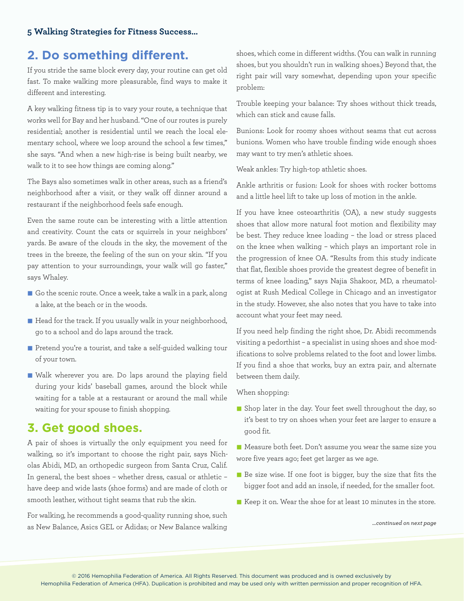### **2. Do something different.**

If you stride the same block every day, your routine can get old fast. To make walking more pleasurable, find ways to make it different and interesting.

A key walking fitness tip is to vary your route, a technique that works well for Bay and her husband. "One of our routes is purely residential; another is residential until we reach the local elementary school, where we loop around the school a few times," she says. "And when a new high-rise is being built nearby, we walk to it to see how things are coming along."

The Bays also sometimes walk in other areas, such as a friend's neighborhood after a visit, or they walk off dinner around a restaurant if the neighborhood feels safe enough.

Even the same route can be interesting with a little attention and creativity. Count the cats or squirrels in your neighbors' yards. Be aware of the clouds in the sky, the movement of the trees in the breeze, the feeling of the sun on your skin. "If you pay attention to your surroundings, your walk will go faster," says Whaley.

- $\blacksquare$  Go the scenic route. Once a week, take a walk in a park, along a lake, at the beach or in the woods.
- n Head for the track. If you usually walk in your neighborhood, go to a school and do laps around the track.
- Pretend you're a tourist, and take a self-guided walking tour of your town.
- n Walk wherever you are. Do laps around the playing field during your kids' baseball games, around the block while waiting for a table at a restaurant or around the mall while waiting for your spouse to finish shopping.

### **3. Get good shoes.**

A pair of shoes is virtually the only equipment you need for walking, so it's important to choose the right pair, says Nicholas Abidi, MD, an orthopedic surgeon from Santa Cruz, Calif. In general, the best shoes – whether dress, casual or athletic – have deep and wide lasts (shoe forms) and are made of cloth or smooth leather, without tight seams that rub the skin.

For walking, he recommends a good-quality running shoe, such as New Balance, Asics GEL or Adidas; or New Balance walking shoes, which come in different widths. (You can walk in running shoes, but you shouldn't run in walking shoes.) Beyond that, the right pair will vary somewhat, depending upon your specific problem:

Trouble keeping your balance: Try shoes without thick treads, which can stick and cause falls.

Bunions: Look for roomy shoes without seams that cut across bunions. Women who have trouble finding wide enough shoes may want to try men's athletic shoes.

Weak ankles: Try high-top athletic shoes.

Ankle arthritis or fusion: Look for shoes with rocker bottoms and a little heel lift to take up loss of motion in the ankle.

If you have knee osteoarthritis (OA), a new study suggests shoes that allow more natural foot motion and flexibility may be best. They reduce knee loading – the load or stress placed on the knee when walking – which plays an important role in the progression of knee OA. "Results from this study indicate that flat, flexible shoes provide the greatest degree of benefit in terms of knee loading," says Najia Shakoor, MD, a rheumatologist at Rush Medical College in Chicago and an investigator in the study. However, she also notes that you have to take into account what your feet may need.

If you need help finding the right shoe, Dr. Abidi recommends visiting a pedorthist – a specialist in using shoes and shoe modifications to solve problems related to the foot and lower limbs. If you find a shoe that works, buy an extra pair, and alternate between them daily.

When shopping:

n Shop later in the day. Your feet swell throughout the day, so it's best to try on shoes when your feet are larger to ensure a good fit.

n Measure both feet. Don't assume you wear the same size you wore five years ago; feet get larger as we age.

- Be size wise. If one foot is bigger, buy the size that fits the bigger foot and add an insole, if needed, for the smaller foot.
- Keep it on. Wear the shoe for at least 10 minutes in the store.

*…continued on next page*